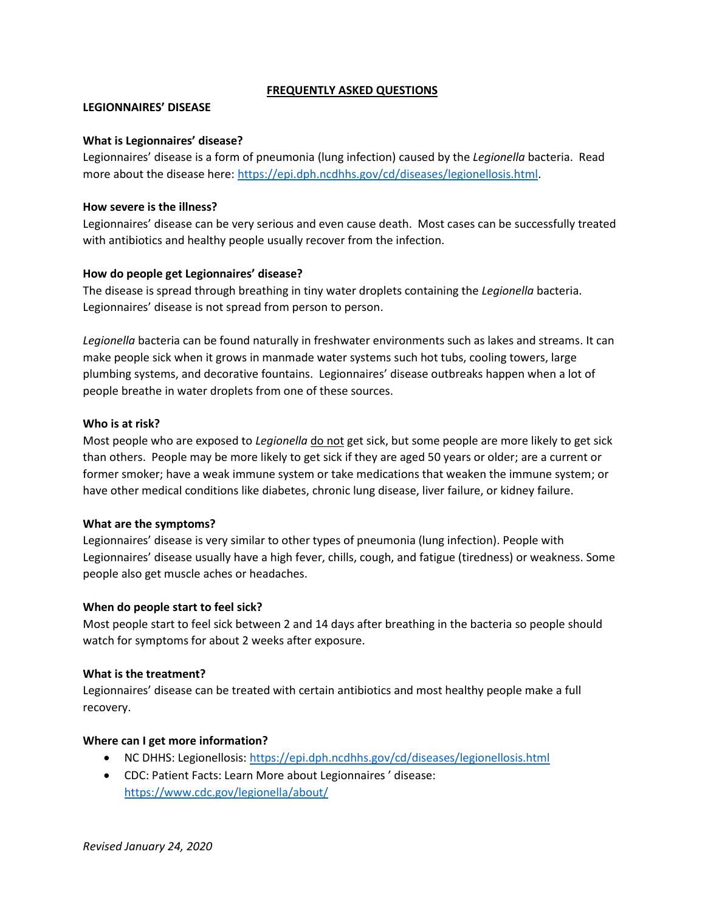# **FREQUENTLY ASKED QUESTIONS**

## **LEGIONNAIRES' DISEASE**

## **What is Legionnaires' disease?**

Legionnaires' disease is a form of pneumonia (lung infection) caused by the *Legionella* bacteria. Read more about the disease here: [https://epi.dph.ncdhhs.gov/cd/diseases/legionellosis.html.](https://epi.dph.ncdhhs.gov/cd/diseases/legionellosis.html)

## **How severe is the illness?**

Legionnaires' disease can be very serious and even cause death. Most cases can be successfully treated with antibiotics and healthy people usually recover from the infection.

# **How do people get Legionnaires' disease?**

The disease is spread through breathing in tiny water droplets containing the *Legionella* bacteria. Legionnaires' disease is not spread from person to person.

*Legionella* bacteria can be found naturally in freshwater environments such as lakes and streams. It can make people sick when it grows in manmade water systems such hot tubs, cooling towers, large plumbing systems, and decorative fountains. Legionnaires' disease outbreaks happen when a lot of people breathe in water droplets from one of these sources.

## **Who is at risk?**

Most people who are exposed to *Legionella* do not get sick, but some people are more likely to get sick than others. People may be more likely to get sick if they are aged 50 years or older; are a current or former smoker; have a weak immune system or take medications that weaken the immune system; or have other medical conditions like diabetes, chronic lung disease, liver failure, or kidney failure.

### **What are the symptoms?**

Legionnaires' disease is very similar to other types of pneumonia (lung infection). People with Legionnaires' disease usually have a high fever, chills, cough, and fatigue (tiredness) or weakness. Some people also get muscle aches or headaches.

# **When do people start to feel sick?**

Most people start to feel sick between 2 and 14 days after breathing in the bacteria so people should watch for symptoms for about 2 weeks after exposure.

### **What is the treatment?**

Legionnaires' disease can be treated with certain antibiotics and most healthy people make a full recovery.

# **Where can I get more information?**

- NC DHHS: Legionellosis[: https://epi.dph.ncdhhs.gov/cd/diseases/legionellosis.html](https://epi.dph.ncdhhs.gov/cd/diseases/legionellosis.html)
- CDC: Patient Facts: Learn More about Legionnaires ' disease: <https://www.cdc.gov/legionella/about/>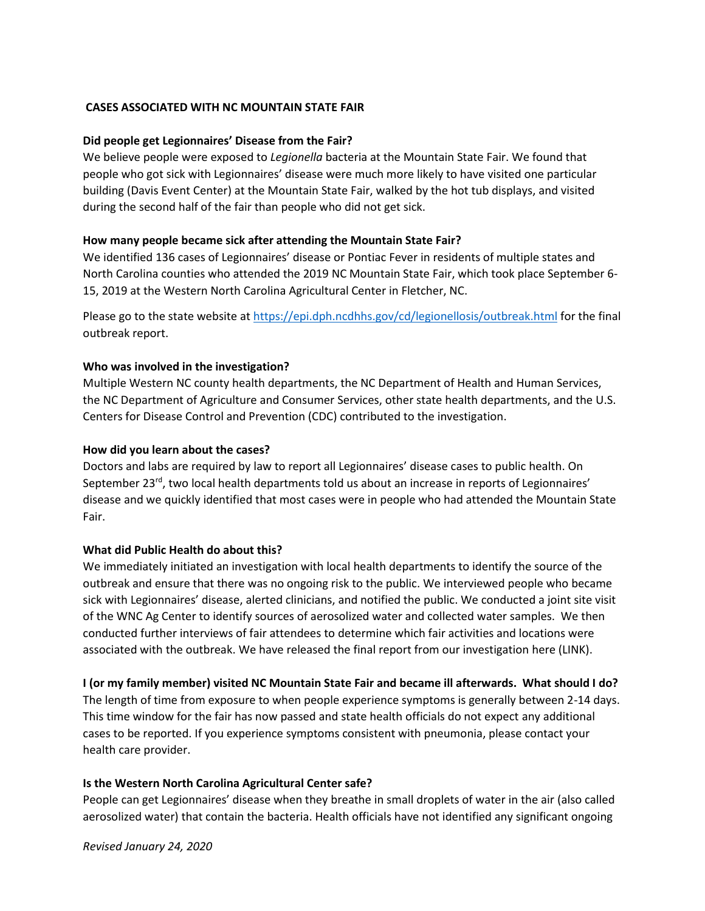# **CASES ASSOCIATED WITH NC MOUNTAIN STATE FAIR**

# **Did people get Legionnaires' Disease from the Fair?**

We believe people were exposed to *Legionella* bacteria at the Mountain State Fair. We found that people who got sick with Legionnaires' disease were much more likely to have visited one particular building (Davis Event Center) at the Mountain State Fair, walked by the hot tub displays, and visited during the second half of the fair than people who did not get sick.

# **How many people became sick after attending the Mountain State Fair?**

We identified 136 cases of Legionnaires' disease or Pontiac Fever in residents of multiple states and North Carolina counties who attended the 2019 NC Mountain State Fair, which took place September 6- 15, 2019 at the Western North Carolina Agricultural Center in Fletcher, NC.

Please go to the state website at<https://epi.dph.ncdhhs.gov/cd/legionellosis/outbreak.html> for the final outbreak report.

# **Who was involved in the investigation?**

Multiple Western NC county health departments, the NC Department of Health and Human Services, the NC Department of Agriculture and Consumer Services, other state health departments, and the U.S. Centers for Disease Control and Prevention (CDC) contributed to the investigation.

## **How did you learn about the cases?**

Doctors and labs are required by law to report all Legionnaires' disease cases to public health. On September 23<sup>rd</sup>, two local health departments told us about an increase in reports of Legionnaires' disease and we quickly identified that most cases were in people who had attended the Mountain State Fair.

# **What did Public Health do about this?**

We immediately initiated an investigation with local health departments to identify the source of the outbreak and ensure that there was no ongoing risk to the public. We interviewed people who became sick with Legionnaires' disease, alerted clinicians, and notified the public. We conducted a joint site visit of the WNC Ag Center to identify sources of aerosolized water and collected water samples. We then conducted further interviews of fair attendees to determine which fair activities and locations were associated with the outbreak. We have released the final report from our investigation here (LINK).

### **I (or my family member) visited NC Mountain State Fair and became ill afterwards. What should I do?**

The length of time from exposure to when people experience symptoms is generally between 2-14 days. This time window for the fair has now passed and state health officials do not expect any additional cases to be reported. If you experience symptoms consistent with pneumonia, please contact your health care provider.

### **Is the Western North Carolina Agricultural Center safe?**

People can get Legionnaires' disease when they breathe in small droplets of water in the air (also called aerosolized water) that contain the bacteria. Health officials have not identified any significant ongoing